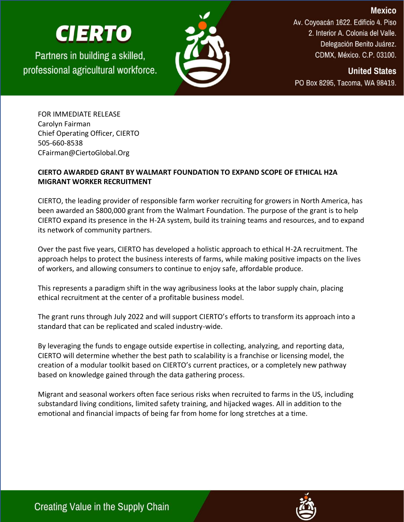## **CIERTO**

Partners in building a skilled, professional agricultural workforce.



Av. Coyoacán 1622. Edificio 4. Piso 2. Interior A. Colonia del Valle. Delegación Benito Juárez. CDMX, México. C.P. 03100.

**Mexico** 

**United States** PO Box 8295, Tacoma, WA 98419.

FOR IMMEDIATE RELEASE Carolyn Fairman Chief Operating Officer, CIERTO 505-660-8538 CFairman@CiertoGlobal.Org

## **CIERTO AWARDED GRANT BY WALMART FOUNDATION TO EXPAND SCOPE OF ETHICAL H2A MIGRANT WORKER RECRUITMENT**

CIERTO, the leading provider of responsible farm worker recruiting for growers in North America, has been awarded an \$800,000 grant from the Walmart Foundation. The purpose of the grant is to help CIERTO expand its presence in the H-2A system, build its training teams and resources, and to expand its network of community partners.

Over the past five years, CIERTO has developed a holistic approach to ethical H-2A recruitment. The approach helps to protect the business interests of farms, while making positive impacts on the lives of workers, and allowing consumers to continue to enjoy safe, affordable produce.

This represents a paradigm shift in the way agribusiness looks at the labor supply chain, placing ethical recruitment at the center of a profitable business model.

The grant runs through July 2022 and will support CIERTO's efforts to transform its approach into a standard that can be replicated and scaled industry-wide.

By leveraging the funds to engage outside expertise in collecting, analyzing, and reporting data, CIERTO will determine whether the best path to scalability is a franchise or licensing model, the creation of a modular toolkit based on CIERTO's current practices, or a completely new pathway based on knowledge gained through the data gathering process.

Migrant and seasonal workers often face serious risks when recruited to farms in the US, including substandard living conditions, limited safety training, and hijacked wages. All in addition to the emotional and financial impacts of being far from home for long stretches at a time.



Creating Value in the Supply Chain